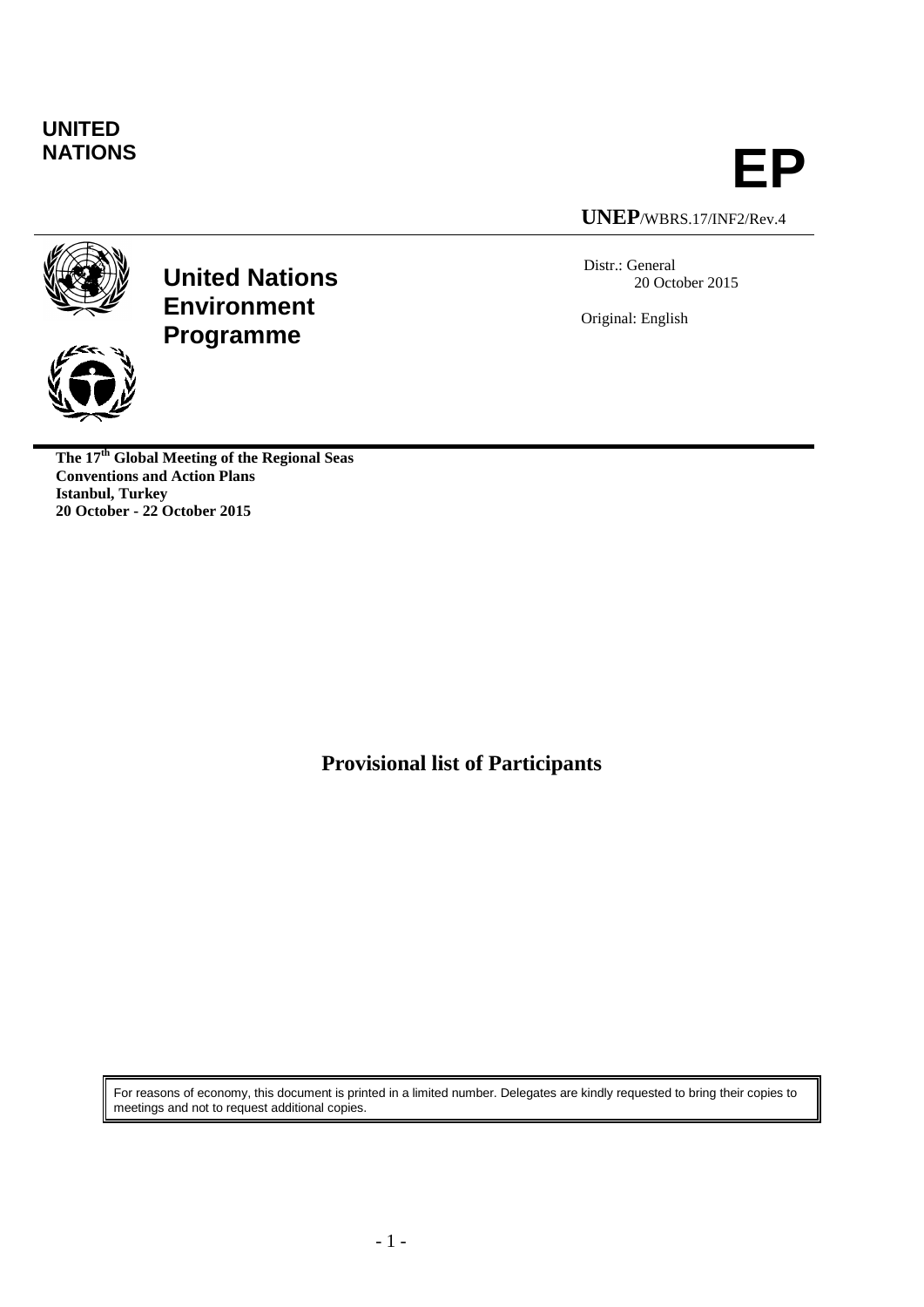## **UNITED**



**UNEP**/WBRS.17/INF2/Rev.4

Distr.: General 20 October 2015

Original: English





**The 17th Global Meeting of the Regional Seas Conventions and Action Plans Istanbul, Turkey 20 October - 22 October 2015**

**Provisional list of Participants**

For reasons of economy, this document is printed in a limited number. Delegates are kindly requested to bring their copies to meetings and not to request additional copies.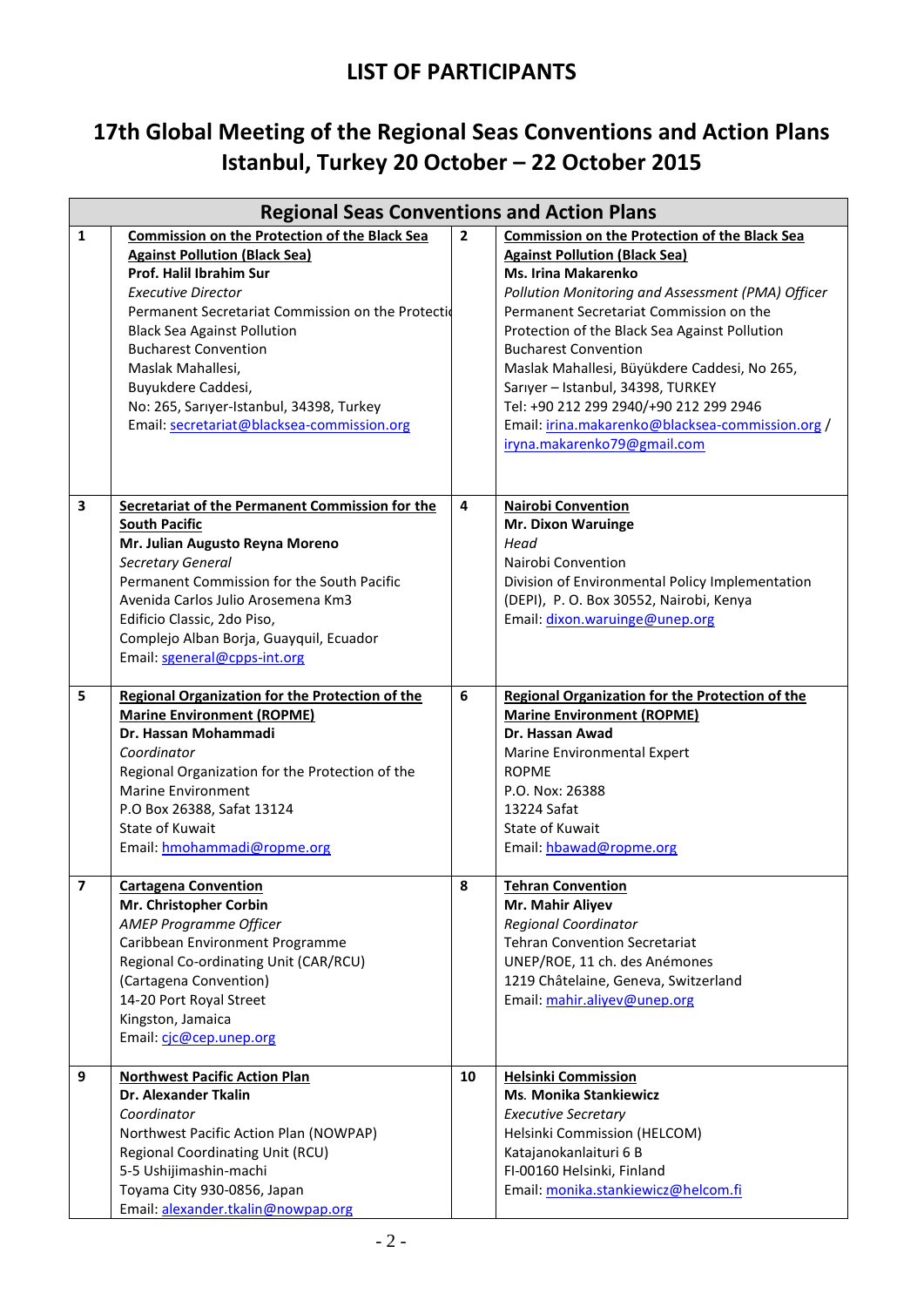## **17th Global Meeting of the Regional Seas Conventions and Action Plans Istanbul, Turkey 20 October – 22 October 2015**

|                         | <b>Regional Seas Conventions and Action Plans</b>                                                                                                                                                                                                                                                                             |                |                                                                                                                                                                                                                                                                                                                                                            |  |  |
|-------------------------|-------------------------------------------------------------------------------------------------------------------------------------------------------------------------------------------------------------------------------------------------------------------------------------------------------------------------------|----------------|------------------------------------------------------------------------------------------------------------------------------------------------------------------------------------------------------------------------------------------------------------------------------------------------------------------------------------------------------------|--|--|
| 1                       | <b>Commission on the Protection of the Black Sea</b><br><b>Against Pollution (Black Sea)</b><br>Prof. Halil Ibrahim Sur<br><b>Executive Director</b><br>Permanent Secretariat Commission on the Protectid<br><b>Black Sea Against Pollution</b><br><b>Bucharest Convention</b><br>Maslak Mahallesi,                           | $\overline{2}$ | <b>Commission on the Protection of the Black Sea</b><br><b>Against Pollution (Black Sea)</b><br><b>Ms. Irina Makarenko</b><br>Pollution Monitoring and Assessment (PMA) Officer<br>Permanent Secretariat Commission on the<br>Protection of the Black Sea Against Pollution<br><b>Bucharest Convention</b><br>Maslak Mahallesi, Büyükdere Caddesi, No 265, |  |  |
|                         | Buyukdere Caddesi,<br>No: 265, Sarıyer-Istanbul, 34398, Turkey<br>Email: secretariat@blacksea-commission.org                                                                                                                                                                                                                  |                | Sarıyer - Istanbul, 34398, TURKEY<br>Tel: +90 212 299 2940/+90 212 299 2946<br>Email: irina.makarenko@blacksea-commission.org /<br>iryna.makarenko79@gmail.com                                                                                                                                                                                             |  |  |
| 3                       | Secretariat of the Permanent Commission for the<br><b>South Pacific</b><br>Mr. Julian Augusto Reyna Moreno<br>Secretary General<br>Permanent Commission for the South Pacific<br>Avenida Carlos Julio Arosemena Km3<br>Edificio Classic, 2do Piso,<br>Complejo Alban Borja, Guayquil, Ecuador<br>Email: sgeneral@cpps-int.org | 4              | <b>Nairobi Convention</b><br><b>Mr. Dixon Waruinge</b><br>Head<br>Nairobi Convention<br>Division of Environmental Policy Implementation<br>(DEPI), P. O. Box 30552, Nairobi, Kenya<br>Email: dixon.waruinge@unep.org                                                                                                                                       |  |  |
| 5                       | <b>Regional Organization for the Protection of the</b><br><b>Marine Environment (ROPME)</b><br>Dr. Hassan Mohammadi<br>Coordinator<br>Regional Organization for the Protection of the<br><b>Marine Environment</b><br>P.O Box 26388, Safat 13124<br><b>State of Kuwait</b><br>Email: hmohammadi@ropme.org                     | 6              | Regional Organization for the Protection of the<br><b>Marine Environment (ROPME)</b><br>Dr. Hassan Awad<br>Marine Environmental Expert<br><b>ROPME</b><br>P.O. Nox: 26388<br>13224 Safat<br><b>State of Kuwait</b><br>Email: hbawad@ropme.org                                                                                                              |  |  |
| $\overline{\mathbf{z}}$ | <b>Cartagena Convention</b><br>Mr. Christopher Corbin<br>AMEP Programme Officer<br>Caribbean Environment Programme<br>Regional Co-ordinating Unit (CAR/RCU)<br>(Cartagena Convention)<br>14-20 Port Royal Street<br>Kingston, Jamaica<br>Email: cjc@cep.unep.org                                                              | 8              | <b>Tehran Convention</b><br>Mr. Mahir Aliyev<br><b>Regional Coordinator</b><br><b>Tehran Convention Secretariat</b><br>UNEP/ROE, 11 ch. des Anémones<br>1219 Châtelaine, Geneva, Switzerland<br>Email: mahir.aliyev@unep.org                                                                                                                               |  |  |
| 9                       | <b>Northwest Pacific Action Plan</b><br><b>Dr. Alexander Tkalin</b><br>Coordinator<br>Northwest Pacific Action Plan (NOWPAP)<br>Regional Coordinating Unit (RCU)<br>5-5 Ushijimashin-machi<br>Toyama City 930-0856, Japan<br>Email: alexander.tkalin@nowpap.org                                                               | 10             | <b>Helsinki Commission</b><br><b>Ms. Monika Stankiewicz</b><br><b>Executive Secretary</b><br>Helsinki Commission (HELCOM)<br>Katajanokanlaituri 6 B<br>FI-00160 Helsinki, Finland<br>Email: monika.stankiewicz@helcom.fi                                                                                                                                   |  |  |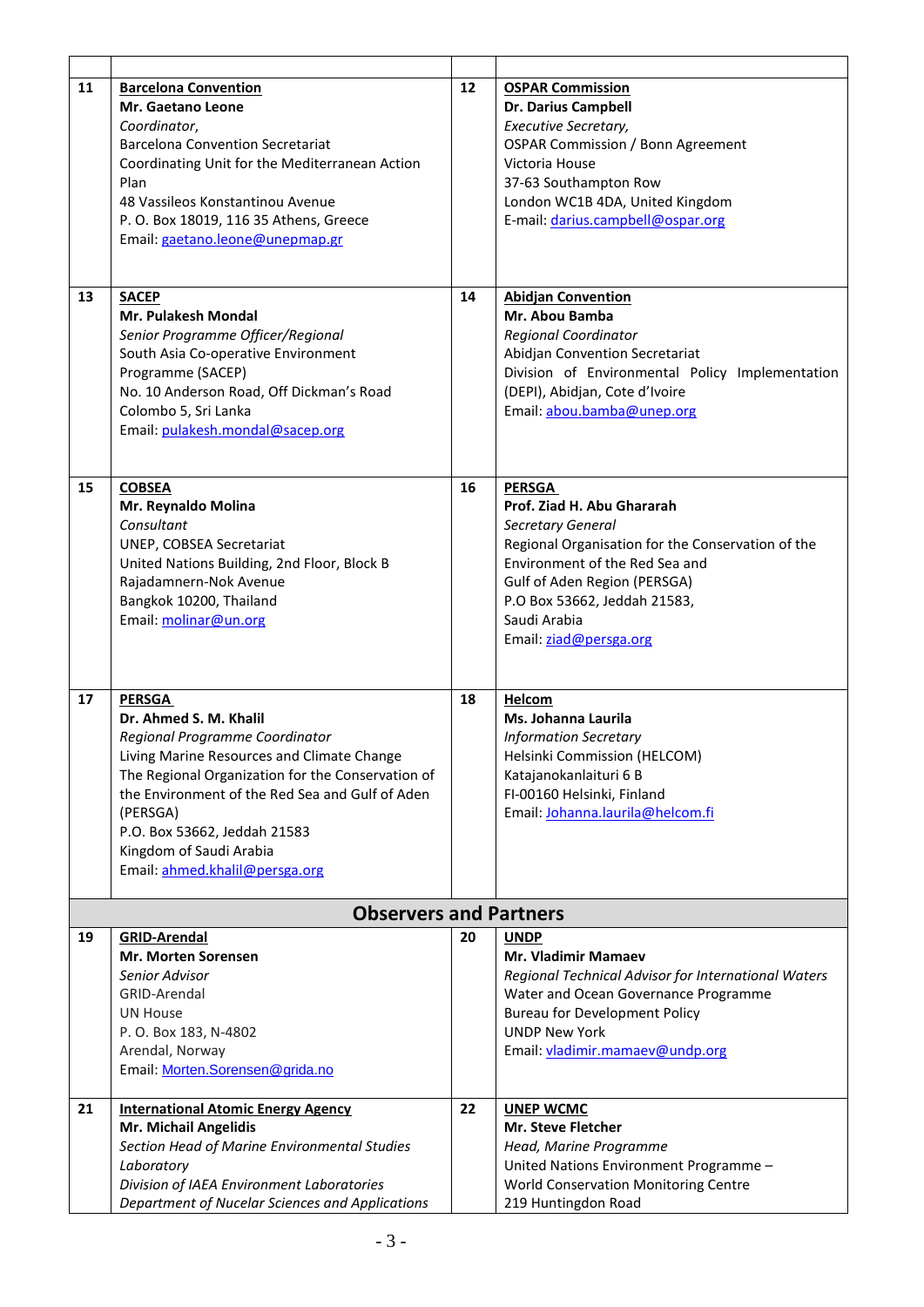| 11 | <b>Barcelona Convention</b><br>Mr. Gaetano Leone<br>Coordinator,<br><b>Barcelona Convention Secretariat</b><br>Coordinating Unit for the Mediterranean Action<br>Plan<br>48 Vassileos Konstantinou Avenue<br>P. O. Box 18019, 116 35 Athens, Greece<br>Email: gaetano.leone@unepmap.gr                                                   | 12 | <b>OSPAR Commission</b><br><b>Dr. Darius Campbell</b><br>Executive Secretary,<br><b>OSPAR Commission / Bonn Agreement</b><br>Victoria House<br>37-63 Southampton Row<br>London WC1B 4DA, United Kingdom<br>E-mail: darius.campbell@ospar.org                      |  |  |  |
|----|------------------------------------------------------------------------------------------------------------------------------------------------------------------------------------------------------------------------------------------------------------------------------------------------------------------------------------------|----|-------------------------------------------------------------------------------------------------------------------------------------------------------------------------------------------------------------------------------------------------------------------|--|--|--|
| 13 | <b>SACEP</b><br><b>Mr. Pulakesh Mondal</b><br>Senior Programme Officer/Regional<br>South Asia Co-operative Environment<br>Programme (SACEP)<br>No. 10 Anderson Road, Off Dickman's Road<br>Colombo 5, Sri Lanka<br>Email: pulakesh.mondal@sacep.org                                                                                      | 14 | <b>Abidjan Convention</b><br>Mr. Abou Bamba<br><b>Regional Coordinator</b><br>Abidjan Convention Secretariat<br>Division of Environmental Policy Implementation<br>(DEPI), Abidjan, Cote d'Ivoire<br>Email: abou.bamba@unep.org                                   |  |  |  |
| 15 | <b>COBSEA</b><br>Mr. Reynaldo Molina<br>Consultant<br>UNEP, COBSEA Secretariat<br>United Nations Building, 2nd Floor, Block B<br>Rajadamnern-Nok Avenue<br>Bangkok 10200, Thailand<br>Email: molinar@un.org                                                                                                                              | 16 | <b>PERSGA</b><br>Prof. Ziad H. Abu Ghararah<br>Secretary General<br>Regional Organisation for the Conservation of the<br>Environment of the Red Sea and<br>Gulf of Aden Region (PERSGA)<br>P.O Box 53662, Jeddah 21583,<br>Saudi Arabia<br>Email: ziad@persga.org |  |  |  |
| 17 | <b>PERSGA</b><br>Dr. Ahmed S. M. Khalil<br>Regional Programme Coordinator<br>Living Marine Resources and Climate Change<br>The Regional Organization for the Conservation of<br>the Environment of the Red Sea and Gulf of Aden<br>(PERSGA)<br>P.O. Box 53662, Jeddah 21583<br>Kingdom of Saudi Arabia<br>Email: ahmed.khalil@persga.org | 18 | Helcom<br><b>Ms. Johanna Laurila</b><br><b>Information Secretary</b><br>Helsinki Commission (HELCOM)<br>Katajanokanlaituri 6 B<br>FI-00160 Helsinki, Finland<br>Email: Johanna.laurila@helcom.fi                                                                  |  |  |  |
|    | <b>Observers and Partners</b>                                                                                                                                                                                                                                                                                                            |    |                                                                                                                                                                                                                                                                   |  |  |  |
| 19 | <b>GRID-Arendal</b><br><b>Mr. Morten Sorensen</b><br>Senior Advisor<br>GRID-Arendal<br><b>UN House</b><br>P. O. Box 183, N-4802<br>Arendal, Norway<br>Email: Morten.Sorensen@grida.no                                                                                                                                                    | 20 | <b>UNDP</b><br><b>Mr. Vladimir Mamaev</b><br>Regional Technical Advisor for International Waters<br>Water and Ocean Governance Programme<br><b>Bureau for Development Policy</b><br><b>UNDP New York</b><br>Email: vladimir.mamaev@undp.org                       |  |  |  |
| 21 | <b>International Atomic Energy Agency</b><br>Mr. Michail Angelidis<br>Section Head of Marine Environmental Studies<br>Laboratory<br>Division of IAEA Environment Laboratories<br>Department of Nucelar Sciences and Applications                                                                                                         | 22 | <b>UNEP WCMC</b><br>Mr. Steve Fletcher<br>Head, Marine Programme<br>United Nations Environment Programme -<br>World Conservation Monitoring Centre<br>219 Huntingdon Road                                                                                         |  |  |  |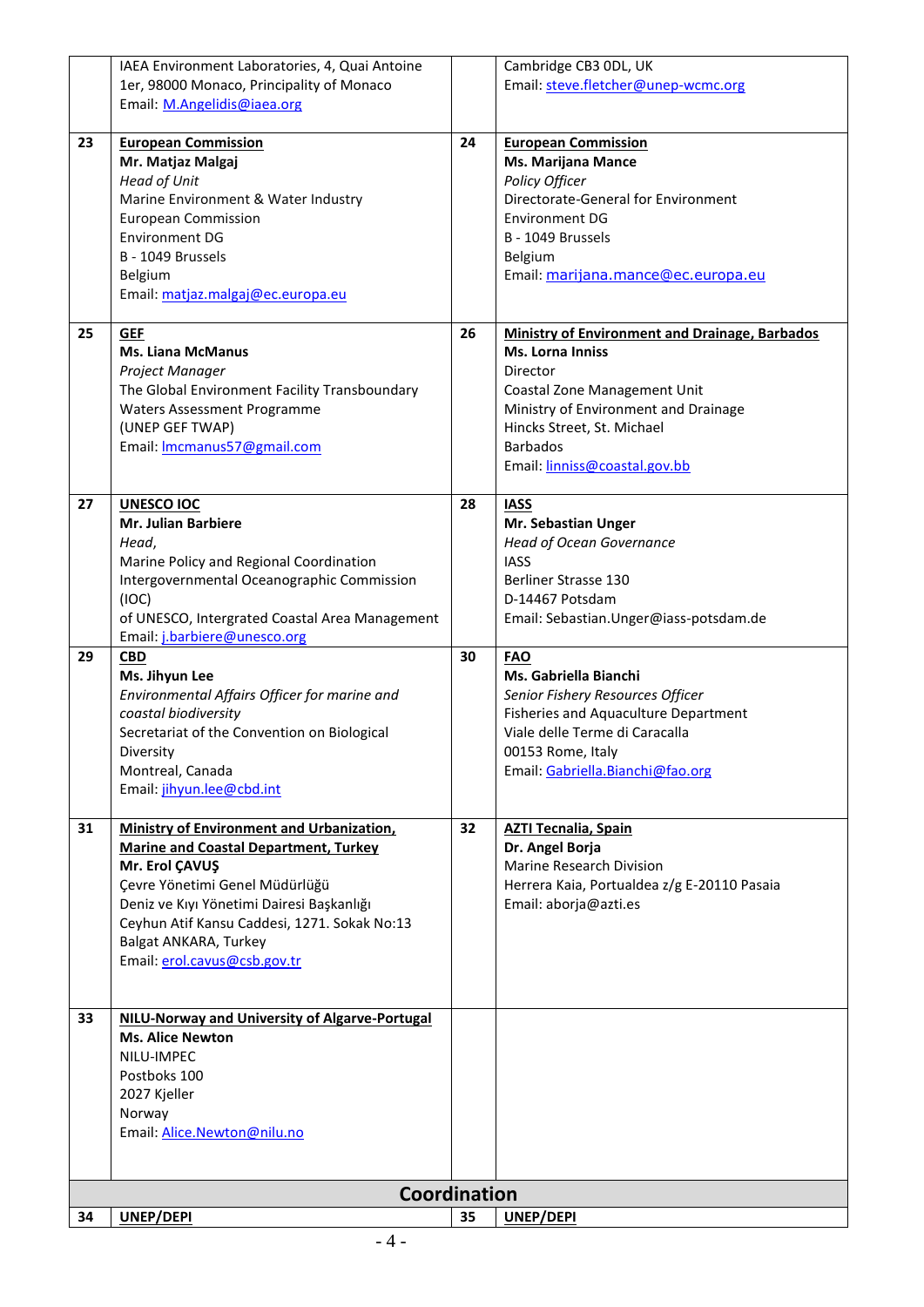|    | IAEA Environment Laboratories, 4, Quai Antoine   |    | Cambridge CB3 ODL, UK                                 |  |  |  |
|----|--------------------------------------------------|----|-------------------------------------------------------|--|--|--|
|    | 1er, 98000 Monaco, Principality of Monaco        |    | Email: steve.fletcher@unep-wcmc.org                   |  |  |  |
|    | Email: M.Angelidis@iaea.org                      |    |                                                       |  |  |  |
|    |                                                  |    |                                                       |  |  |  |
| 23 | <b>European Commission</b>                       | 24 | <b>European Commission</b>                            |  |  |  |
|    | Mr. Matjaz Malgaj                                |    | <b>Ms. Marijana Mance</b>                             |  |  |  |
|    | <b>Head of Unit</b>                              |    | Policy Officer                                        |  |  |  |
|    | Marine Environment & Water Industry              |    | Directorate-General for Environment                   |  |  |  |
|    | <b>European Commission</b>                       |    | <b>Environment DG</b>                                 |  |  |  |
|    |                                                  |    |                                                       |  |  |  |
|    | <b>Environment DG</b>                            |    | B - 1049 Brussels                                     |  |  |  |
|    | B - 1049 Brussels                                |    | Belgium                                               |  |  |  |
|    | Belgium                                          |    | Email: marijana.mance@ec.europa.eu                    |  |  |  |
|    | Email: matjaz.malgaj@ec.europa.eu                |    |                                                       |  |  |  |
|    |                                                  |    |                                                       |  |  |  |
| 25 | <b>GEF</b>                                       | 26 | <b>Ministry of Environment and Drainage, Barbados</b> |  |  |  |
|    | <b>Ms. Liana McManus</b>                         |    | <b>Ms. Lorna Inniss</b>                               |  |  |  |
|    | Project Manager                                  |    | Director                                              |  |  |  |
|    | The Global Environment Facility Transboundary    |    | Coastal Zone Management Unit                          |  |  |  |
|    | <b>Waters Assessment Programme</b>               |    | Ministry of Environment and Drainage                  |  |  |  |
|    | (UNEP GEF TWAP)                                  |    | Hincks Street, St. Michael                            |  |  |  |
|    |                                                  |    |                                                       |  |  |  |
|    | Email: Imcmanus57@gmail.com                      |    | <b>Barbados</b>                                       |  |  |  |
|    |                                                  |    | Email: linniss@coastal.gov.bb                         |  |  |  |
|    |                                                  |    |                                                       |  |  |  |
| 27 | <b>UNESCO IOC</b>                                | 28 | <b>IASS</b>                                           |  |  |  |
|    | <b>Mr. Julian Barbiere</b>                       |    | Mr. Sebastian Unger                                   |  |  |  |
|    | Head,                                            |    | <b>Head of Ocean Governance</b>                       |  |  |  |
|    | Marine Policy and Regional Coordination          |    | <b>IASS</b>                                           |  |  |  |
|    | Intergovernmental Oceanographic Commission       |    | <b>Berliner Strasse 130</b>                           |  |  |  |
|    | (IOC)                                            |    | D-14467 Potsdam                                       |  |  |  |
|    | of UNESCO, Intergrated Coastal Area Management   |    | Email: Sebastian. Unger@iass-potsdam.de               |  |  |  |
|    | Email: j.barbiere@unesco.org                     |    |                                                       |  |  |  |
| 29 | <b>CBD</b>                                       | 30 | <b>FAO</b>                                            |  |  |  |
|    | Ms. Jihyun Lee                                   |    | Ms. Gabriella Bianchi                                 |  |  |  |
|    |                                                  |    |                                                       |  |  |  |
|    | Environmental Affairs Officer for marine and     |    | Senior Fishery Resources Officer                      |  |  |  |
|    | coastal biodiversity                             |    | Fisheries and Aquaculture Department                  |  |  |  |
|    | Secretariat of the Convention on Biological      |    | Viale delle Terme di Caracalla                        |  |  |  |
|    | Diversity                                        |    | 00153 Rome, Italy                                     |  |  |  |
|    | Montreal, Canada                                 |    | Email: Gabriella.Bianchi@fao.org                      |  |  |  |
|    | Email: jihyun.lee@cbd.int                        |    |                                                       |  |  |  |
|    |                                                  |    |                                                       |  |  |  |
| 31 | <b>Ministry of Environment and Urbanization,</b> | 32 | <b>AZTI Tecnalia, Spain</b>                           |  |  |  |
|    | <b>Marine and Coastal Department, Turkey</b>     |    | Dr. Angel Borja                                       |  |  |  |
|    | Mr. Erol ÇAVUŞ                                   |    | Marine Research Division                              |  |  |  |
|    | Çevre Yönetimi Genel Müdürlüğü                   |    | Herrera Kaia, Portualdea z/g E-20110 Pasaia           |  |  |  |
|    | Deniz ve Kıyı Yönetimi Dairesi Başkanlığı        |    | Email: aborja@azti.es                                 |  |  |  |
|    |                                                  |    |                                                       |  |  |  |
|    | Ceyhun Atif Kansu Caddesi, 1271. Sokak No:13     |    |                                                       |  |  |  |
|    | Balgat ANKARA, Turkey                            |    |                                                       |  |  |  |
|    | Email: erol.cavus@csb.gov.tr                     |    |                                                       |  |  |  |
|    |                                                  |    |                                                       |  |  |  |
|    |                                                  |    |                                                       |  |  |  |
| 33 | NILU-Norway and University of Algarve-Portugal   |    |                                                       |  |  |  |
|    | <b>Ms. Alice Newton</b>                          |    |                                                       |  |  |  |
|    | NILU-IMPEC                                       |    |                                                       |  |  |  |
|    | Postboks 100                                     |    |                                                       |  |  |  |
|    | 2027 Kjeller                                     |    |                                                       |  |  |  |
|    | Norway                                           |    |                                                       |  |  |  |
|    | Email: Alice.Newton@nilu.no                      |    |                                                       |  |  |  |
|    |                                                  |    |                                                       |  |  |  |
|    |                                                  |    |                                                       |  |  |  |
|    |                                                  |    |                                                       |  |  |  |
|    | Coordination                                     |    |                                                       |  |  |  |
| 34 | UNEP/DEPI                                        | 35 | UNEP/DEPI                                             |  |  |  |